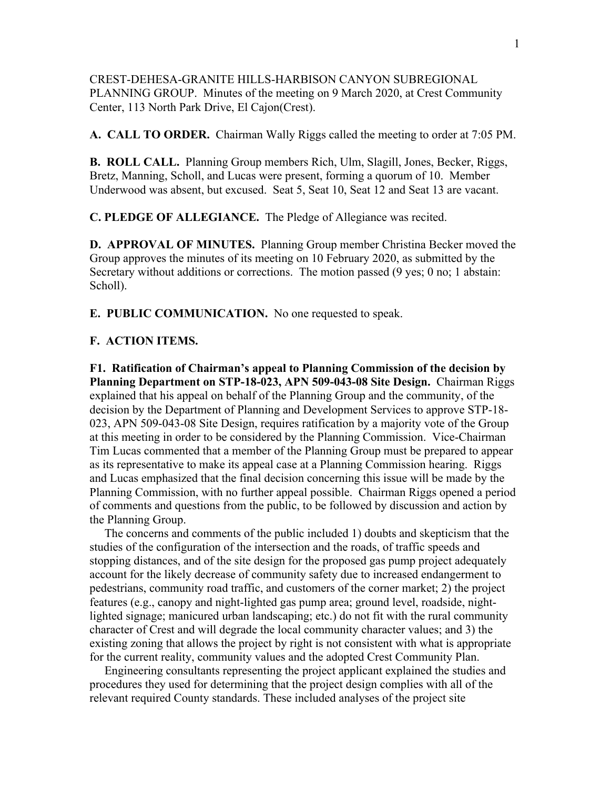CREST-DEHESA-GRANITE HILLS-HARBISON CANYON SUBREGIONAL PLANNING GROUP. Minutes of the meeting on 9 March 2020, at Crest Community Center, 113 North Park Drive, El Cajon(Crest).

**A. CALL TO ORDER.** Chairman Wally Riggs called the meeting to order at 7:05 PM.

**B. ROLL CALL.** Planning Group members Rich, Ulm, Slagill, Jones, Becker, Riggs, Bretz, Manning, Scholl, and Lucas were present, forming a quorum of 10. Member Underwood was absent, but excused. Seat 5, Seat 10, Seat 12 and Seat 13 are vacant.

**C. PLEDGE OF ALLEGIANCE.** The Pledge of Allegiance was recited.

**D. APPROVAL OF MINUTES.** Planning Group member Christina Becker moved the Group approves the minutes of its meeting on 10 February 2020, as submitted by the Secretary without additions or corrections. The motion passed (9 yes; 0 no; 1 abstain: Scholl).

**E. PUBLIC COMMUNICATION.** No one requested to speak.

## **F. ACTION ITEMS.**

**F1. Ratification of Chairman's appeal to Planning Commission of the decision by Planning Department on STP-18-023, APN 509-043-08 Site Design.** Chairman Riggs explained that his appeal on behalf of the Planning Group and the community, of the decision by the Department of Planning and Development Services to approve STP-18- 023, APN 509-043-08 Site Design, requires ratification by a majority vote of the Group at this meeting in order to be considered by the Planning Commission. Vice-Chairman Tim Lucas commented that a member of the Planning Group must be prepared to appear as its representative to make its appeal case at a Planning Commission hearing. Riggs and Lucas emphasized that the final decision concerning this issue will be made by the Planning Commission, with no further appeal possible. Chairman Riggs opened a period of comments and questions from the public, to be followed by discussion and action by the Planning Group.

 The concerns and comments of the public included 1) doubts and skepticism that the studies of the configuration of the intersection and the roads, of traffic speeds and stopping distances, and of the site design for the proposed gas pump project adequately account for the likely decrease of community safety due to increased endangerment to pedestrians, community road traffic, and customers of the corner market; 2) the project features (e.g., canopy and night-lighted gas pump area; ground level, roadside, nightlighted signage; manicured urban landscaping; etc.) do not fit with the rural community character of Crest and will degrade the local community character values; and 3) the existing zoning that allows the project by right is not consistent with what is appropriate for the current reality, community values and the adopted Crest Community Plan.

 Engineering consultants representing the project applicant explained the studies and procedures they used for determining that the project design complies with all of the relevant required County standards. These included analyses of the project site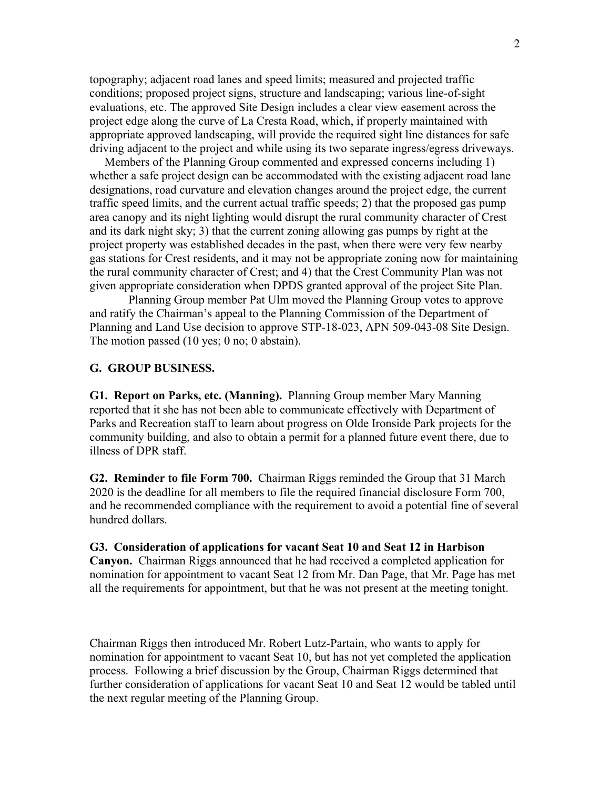topography; adjacent road lanes and speed limits; measured and projected traffic conditions; proposed project signs, structure and landscaping; various line-of-sight evaluations, etc. The approved Site Design includes a clear view easement across the project edge along the curve of La Cresta Road, which, if properly maintained with appropriate approved landscaping, will provide the required sight line distances for safe driving adjacent to the project and while using its two separate ingress/egress driveways.

 Members of the Planning Group commented and expressed concerns including 1) whether a safe project design can be accommodated with the existing adjacent road lane designations, road curvature and elevation changes around the project edge, the current traffic speed limits, and the current actual traffic speeds; 2) that the proposed gas pump area canopy and its night lighting would disrupt the rural community character of Crest and its dark night sky; 3) that the current zoning allowing gas pumps by right at the project property was established decades in the past, when there were very few nearby gas stations for Crest residents, and it may not be appropriate zoning now for maintaining the rural community character of Crest; and 4) that the Crest Community Plan was not given appropriate consideration when DPDS granted approval of the project Site Plan.

 Planning Group member Pat Ulm moved the Planning Group votes to approve and ratify the Chairman's appeal to the Planning Commission of the Department of Planning and Land Use decision to approve STP-18-023, APN 509-043-08 Site Design. The motion passed (10 yes; 0 no; 0 abstain).

## **G. GROUP BUSINESS.**

**G1. Report on Parks, etc. (Manning).** Planning Group member Mary Manning reported that it she has not been able to communicate effectively with Department of Parks and Recreation staff to learn about progress on Olde Ironside Park projects for the community building, and also to obtain a permit for a planned future event there, due to illness of DPR staff.

**G2. Reminder to file Form 700.** Chairman Riggs reminded the Group that 31 March 2020 is the deadline for all members to file the required financial disclosure Form 700, and he recommended compliance with the requirement to avoid a potential fine of several hundred dollars.

## **G3. Consideration of applications for vacant Seat 10 and Seat 12 in Harbison**

**Canyon.** Chairman Riggs announced that he had received a completed application for nomination for appointment to vacant Seat 12 from Mr. Dan Page, that Mr. Page has met all the requirements for appointment, but that he was not present at the meeting tonight.

Chairman Riggs then introduced Mr. Robert Lutz-Partain, who wants to apply for nomination for appointment to vacant Seat 10, but has not yet completed the application process. Following a brief discussion by the Group, Chairman Riggs determined that further consideration of applications for vacant Seat 10 and Seat 12 would be tabled until the next regular meeting of the Planning Group.